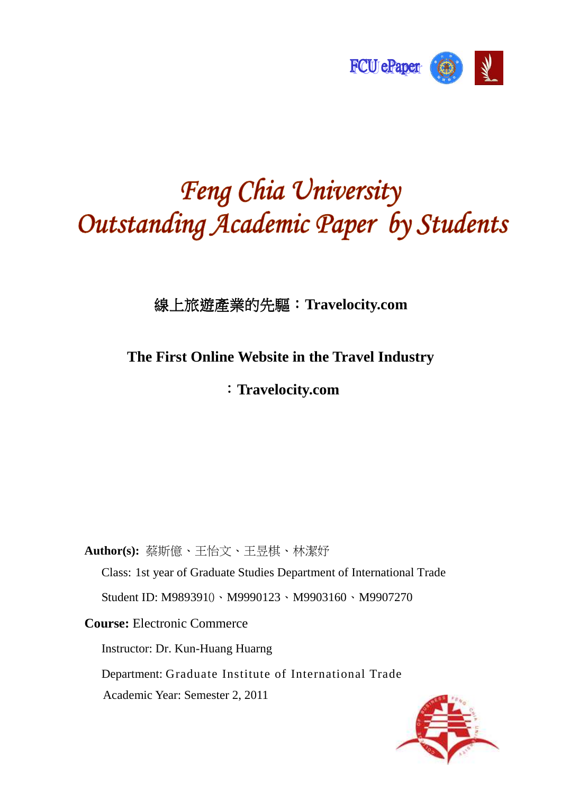

# Feng Chia University Outstanding Academic Paper by Students

線上旅遊產業的先驅: 線上旅遊產業的先驅:**Travelocity.com** 

## **The First Online Website in the Travel Industry**

## :**Travelocity.com**

**Author(s):** 蔡斯億、王怡文、王昱棋、林潔妤

Class: 1st year of Graduate Studies Department of International Trade Student ID: M9893910、M9990123、M9903160、M9907270

**Course:** Electronic Commerce

Instructor: Dr. Kun-Huang Huarng

Department: Graduate Institute of International Trade

Academic Year: Semester 2, 2011

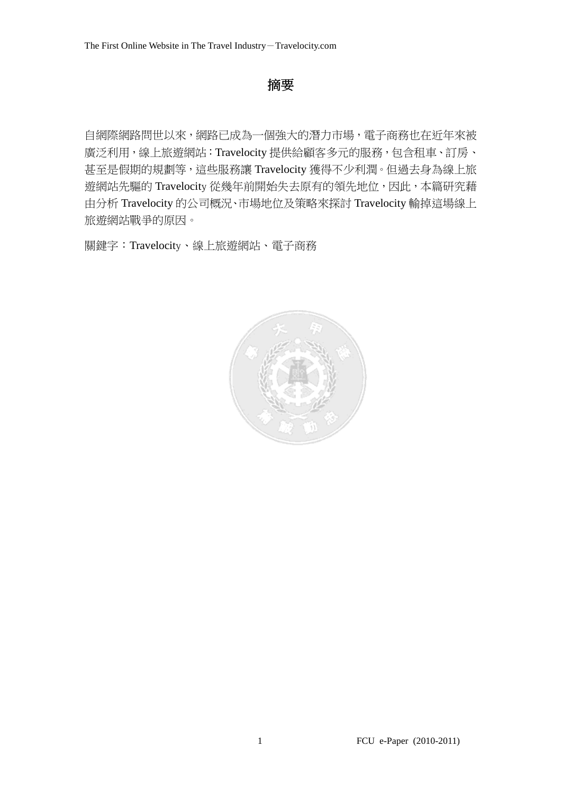## 摘要

自網際網路問世以來,網路已成為一個強大的潛力市場,電子商務也在近年來被 廣泛利用,線上旅遊網站:Travelocity 提供給顧客多元的服務,包含租車、訂房、 甚至是假期的規劃等,這些服務讓 Travelocity 獲得不少利潤。但過去身為線上旅 遊網站先驅的 Travelocity 從幾年前開始失去原有的領先地位,因此,本篇研究藉 由分析 Travelocity 的公司概況、市場地位及策略來探討 Travelocity 輸掉這場線上 旅遊網站戰爭的原因。

關鍵字:Travelocity、線上旅遊網站、電子商務

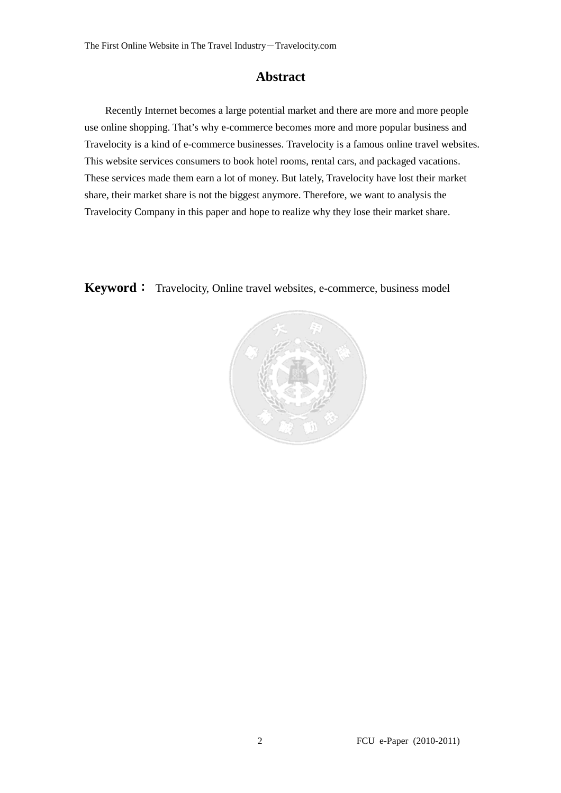#### **Abstract**

Recently Internet becomes a large potential market and there are more and more people use online shopping. That's why e-commerce becomes more and more popular business and Travelocity is a kind of e-commerce businesses. Travelocity is a famous online travel websites. This website services consumers to book hotel rooms, rental cars, and packaged vacations. These services made them earn a lot of money. But lately, Travelocity have lost their market share, their market share is not the biggest anymore. Therefore, we want to analysis the Travelocity Company in this paper and hope to realize why they lose their market share.

**Keyword**: Travelocity, Online travel websites, e-commerce, business model

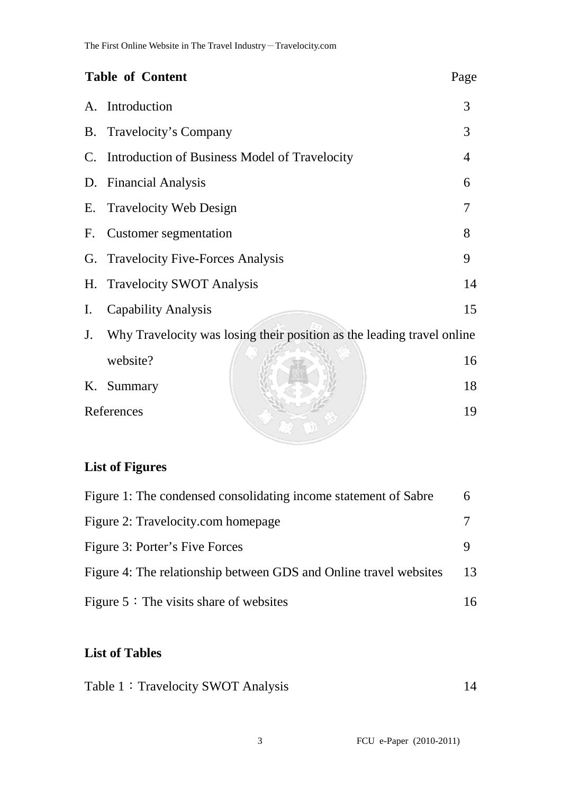| <b>Table of Content</b>                                                      | Page           |
|------------------------------------------------------------------------------|----------------|
| Introduction<br>A.                                                           | 3              |
| Travelocity's Company<br>B.                                                  | 3              |
| Introduction of Business Model of Travelocity<br>C.                          | $\overline{4}$ |
| <b>Financial Analysis</b><br>D.                                              | 6              |
| <b>Travelocity Web Design</b><br>Е.                                          | 7              |
| Customer segmentation<br>F.                                                  | 8              |
| <b>Travelocity Five-Forces Analysis</b><br>G.                                | 9              |
| <b>Travelocity SWOT Analysis</b><br>Η.                                       | 14             |
| <b>Capability Analysis</b><br>$\mathbf{I}$ .                                 | 15             |
| Why Travelocity was losing their position as the leading travel online<br>J. |                |
| website?                                                                     | 16             |
| Summary<br>K.                                                                | 18             |
| References                                                                   | 19             |

## **List of Figures**

| Figure 1: The condensed consolidating income statement of Sabre   | 6  |
|-------------------------------------------------------------------|----|
| Figure 2: Travelocity.com homepage                                |    |
| Figure 3: Porter's Five Forces                                    |    |
| Figure 4: The relationship between GDS and Online travel websites | 13 |
| Figure $5:$ The visits share of websites                          | 16 |

## **List of Tables**

| Table 1: Travelocity SWOT Analysis |  |
|------------------------------------|--|
|------------------------------------|--|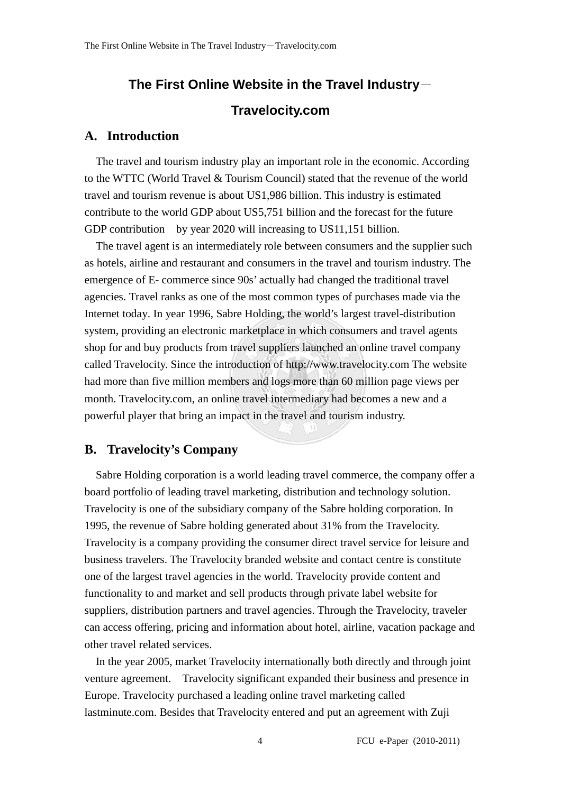## **The First Online Website in the Travel Industry**- **Travelocity.com**

#### **A. Introduction**

The travel and tourism industry play an important role in the economic. According to the WTTC (World Travel & Tourism Council) stated that the revenue of the world travel and tourism revenue is about US1,986 billion. This industry is estimated contribute to the world GDP about US5,751 billion and the forecast for the future GDP contribution by year 2020 will increasing to US11,151 billion.

 The travel agent is an intermediately role between consumers and the supplier such as hotels, airline and restaurant and consumers in the travel and tourism industry. The emergence of E- commerce since 90s' actually had changed the traditional travel agencies. Travel ranks as one of the most common types of purchases made via the Internet today. In year 1996, Sabre Holding, the world's largest travel-distribution system, providing an electronic marketplace in which consumers and travel agents shop for and buy products from travel suppliers launched an online travel company called Travelocity. Since the introduction of http://www.travelocity.com The website had more than five million members and logs more than 60 million page views per month. Travelocity.com, an online travel intermediary had becomes a new and a powerful player that bring an impact in the travel and tourism industry.

#### **B. Travelocity's Company**

Sabre Holding corporation is a world leading travel commerce, the company offer a board portfolio of leading travel marketing, distribution and technology solution. Travelocity is one of the subsidiary company of the Sabre holding corporation. In 1995, the revenue of Sabre holding generated about 31% from the Travelocity. Travelocity is a company providing the consumer direct travel service for leisure and business travelers. The Travelocity branded website and contact centre is constitute one of the largest travel agencies in the world. Travelocity provide content and functionality to and market and sell products through private label website for suppliers, distribution partners and travel agencies. Through the Travelocity, traveler can access offering, pricing and information about hotel, airline, vacation package and other travel related services.

In the year 2005, market Travelocity internationally both directly and through joint venture agreement. Travelocity significant expanded their business and presence in Europe. Travelocity purchased a leading online travel marketing called lastminute.com. Besides that Travelocity entered and put an agreement with Zuji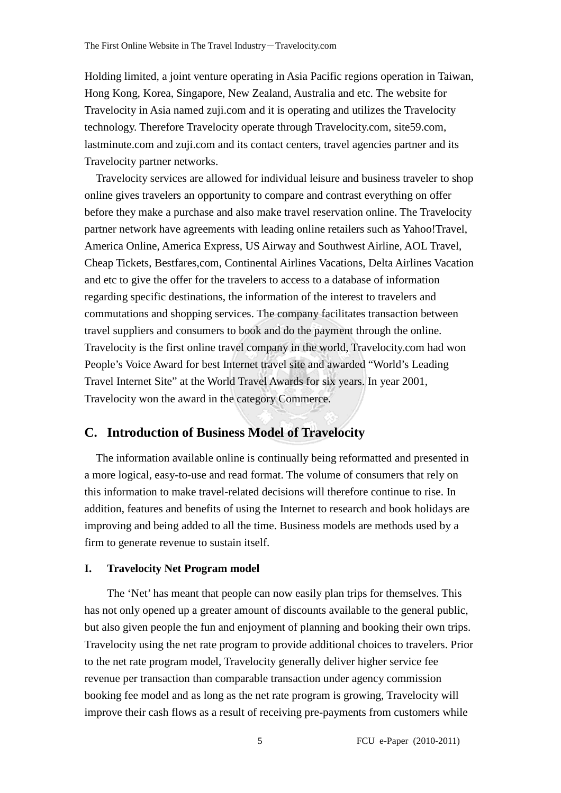Holding limited, a joint venture operating in Asia Pacific regions operation in Taiwan, Hong Kong, Korea, Singapore, New Zealand, Australia and etc. The website for Travelocity in Asia named zuji.com and it is operating and utilizes the Travelocity technology. Therefore Travelocity operate through Travelocity.com, site59.com, lastminute.com and zuji.com and its contact centers, travel agencies partner and its Travelocity partner networks.

Travelocity services are allowed for individual leisure and business traveler to shop online gives travelers an opportunity to compare and contrast everything on offer before they make a purchase and also make travel reservation online. The Travelocity partner network have agreements with leading online retailers such as Yahoo!Travel, America Online, America Express, US Airway and Southwest Airline, AOL Travel, Cheap Tickets, Bestfares,com, Continental Airlines Vacations, Delta Airlines Vacation and etc to give the offer for the travelers to access to a database of information regarding specific destinations, the information of the interest to travelers and commutations and shopping services. The company facilitates transaction between travel suppliers and consumers to book and do the payment through the online. Travelocity is the first online travel company in the world, Travelocity.com had won People's Voice Award for best Internet travel site and awarded "World's Leading Travel Internet Site" at the World Travel Awards for six years. In year 2001, Travelocity won the award in the category Commerce.

#### **C. Introduction of Business Model of Travelocity**

The information available online is continually being reformatted and presented in a more logical, easy-to-use and read format. The volume of consumers that rely on this information to make travel-related decisions will therefore continue to rise. In addition, features and benefits of using the Internet to research and book holidays are improving and being added to all the time. Business models are methods used by a firm to generate revenue to sustain itself.

#### **I. Travelocity Net Program model**

The 'Net' has meant that people can now easily plan trips for themselves. This has not only opened up a greater amount of discounts available to the general public, but also given people the fun and enjoyment of planning and booking their own trips. Travelocity using the net rate program to provide additional choices to travelers. Prior to the net rate program model, Travelocity generally deliver higher service fee revenue per transaction than comparable transaction under agency commission booking fee model and as long as the net rate program is growing, Travelocity will improve their cash flows as a result of receiving pre-payments from customers while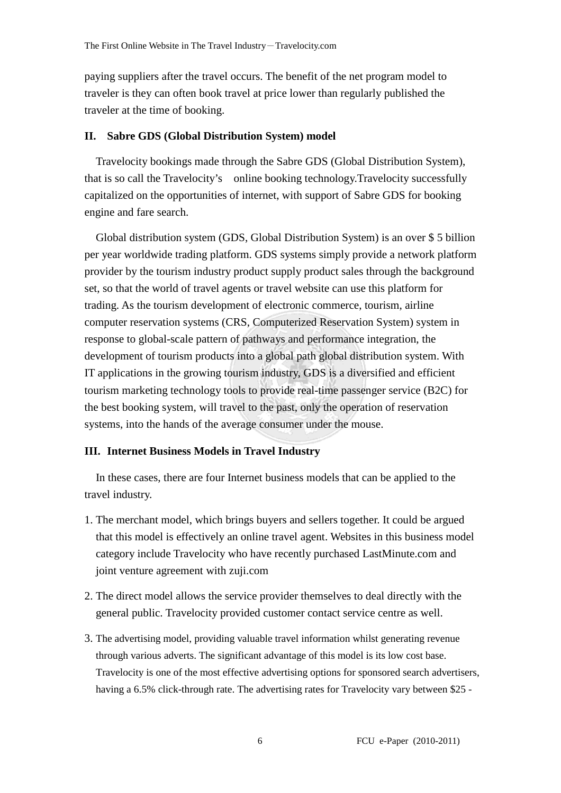paying suppliers after the travel occurs. The benefit of the net program model to traveler is they can often book travel at price lower than regularly published the traveler at the time of booking.

#### **II. Sabre GDS (Global Distribution System) model**

Travelocity bookings made through the Sabre GDS (Global Distribution System), that is so call the Travelocity's online booking technology.Travelocity successfully capitalized on the opportunities of internet, with support of Sabre GDS for booking engine and fare search.

Global distribution system (GDS, Global Distribution System) is an over \$ 5 billion per year worldwide trading platform. GDS systems simply provide a network platform provider by the tourism industry product supply product sales through the background set, so that the world of travel agents or travel website can use this platform for trading. As the tourism development of electronic commerce, tourism, airline computer reservation systems (CRS, Computerized Reservation System) system in response to global-scale pattern of pathways and performance integration, the development of tourism products into a global path global distribution system. With IT applications in the growing tourism industry, GDS is a diversified and efficient tourism marketing technology tools to provide real-time passenger service (B2C) for the best booking system, will travel to the past, only the operation of reservation systems, into the hands of the average consumer under the mouse.

#### **III. Internet Business Models in Travel Industry**

In these cases, there are four Internet business models that can be applied to the travel industry.

- 1. The merchant model, which brings buyers and sellers together. It could be argued that this model is effectively an online travel agent. Websites in this business model category include Travelocity who have recently purchased LastMinute.com and joint venture agreement with zuji.com
- 2. The direct model allows the service provider themselves to deal directly with the general public. Travelocity provided customer contact service centre as well.
- 3. The advertising model, providing valuable travel information whilst generating revenue through various adverts. The significant advantage of this model is its low cost base. Travelocity is one of the most effective advertising options for sponsored search advertisers, having a 6.5% click-through rate. The advertising rates for Travelocity vary between \$25 -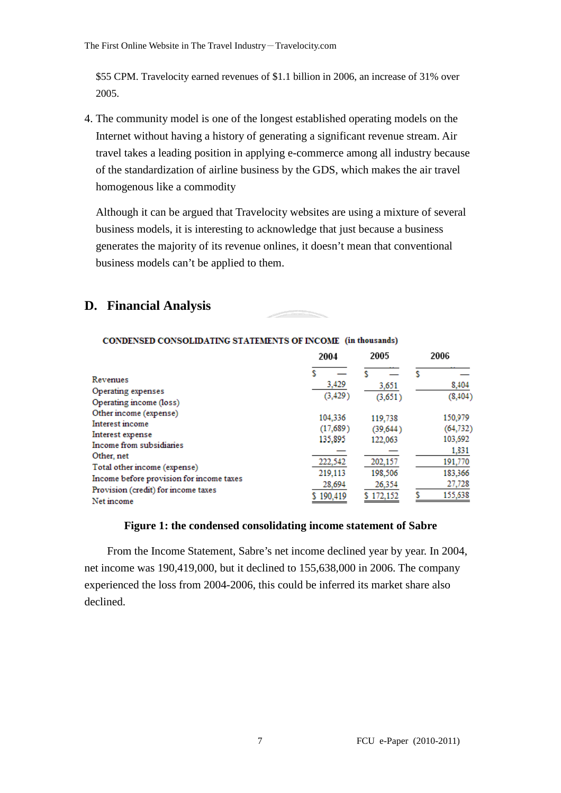\$55 CPM. Travelocity earned revenues of \$1.1 billion in 2006, an increase of 31% over 2005.

4. The community model is one of the longest established operating models on the Internet without having a history of generating a significant revenue stream. Air travel takes a leading position in applying e-commerce among all industry because of the standardization of airline business by the GDS, which makes the air travel homogenous like a commodity

Although it can be argued that Travelocity websites are using a mixture of several business models, it is interesting to acknowledge that just because a business generates the majority of its revenue onlines, it doesn't mean that conventional business models can't be applied to them.

### **D. Financial Analysis**

|                                                                                               | 2004                           | 2005                            | 2006                            |
|-----------------------------------------------------------------------------------------------|--------------------------------|---------------------------------|---------------------------------|
| Revenues<br>Operating expenses                                                                | 3,429                          | 3,651                           | 8,404                           |
| Operating income (loss)                                                                       | (3, 429)                       | (3,651)                         | (8, 404)                        |
| Other income (expense)<br>Interest income<br>Interest expense<br>Income from subsidiaries     | 104.336<br>(17,689)<br>135,895 | 119,738<br>(39, 644)<br>122,063 | 150,979<br>(64, 732)<br>103,692 |
| Other, net<br>Total other income (expense)                                                    | 222,542<br>219,113             | 202,157<br>198,506              | 1,831<br>191,770<br>183,366     |
| Income before provision for income taxes<br>Provision (credit) for income taxes<br>Net income | 28,694<br>190,419              | 26,354<br>172.152               | 27,728<br>155,638               |

#### CONDENSED CONSOLIDATING STATEMENTS OF INCOME (in thousands)

#### **Figure 1: the condensed consolidating income statement of Sabre**

From the Income Statement, Sabre's net income declined year by year. In 2004, net income was 190,419,000, but it declined to 155,638,000 in 2006. The company experienced the loss from 2004-2006, this could be inferred its market share also declined.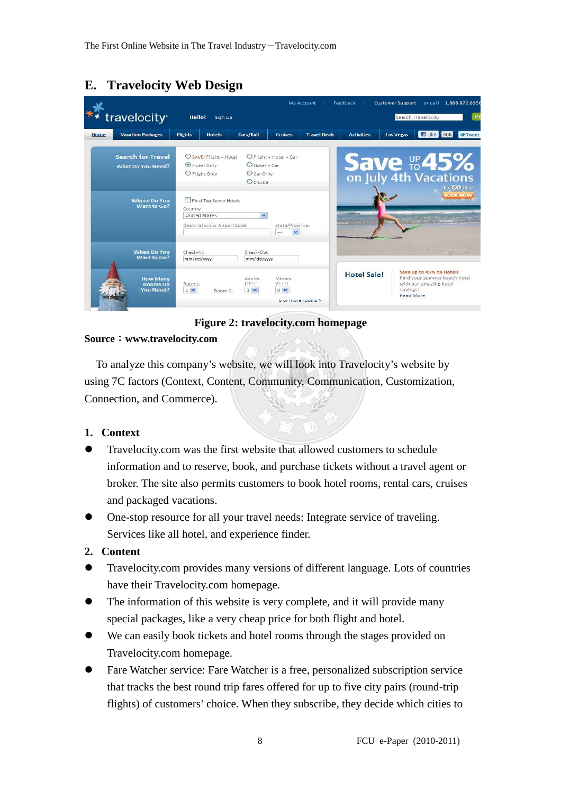## **E. Travelocity Web Design**

|                                                        |                                                                                           | My Account                                                              | Feedback           | <b>Customer Support</b><br>or call 1.888.872.8356                                                                  |
|--------------------------------------------------------|-------------------------------------------------------------------------------------------|-------------------------------------------------------------------------|--------------------|--------------------------------------------------------------------------------------------------------------------|
| travelocity <sup>®</sup>                               | Hello!<br>Sign Up                                                                         |                                                                         |                    | G<br>Search Travelocity                                                                                            |
| <b>Vacation Packages</b><br>Home                       | <b>Flights</b><br>Cars/Rail<br><b>Hotels</b>                                              | <b>Travel Deals</b><br><b>Cruises</b>                                   | <b>Activities</b>  | El Like 686K<br><b>Las Vegas</b><br><b>M</b> Tweet                                                                 |
| <b>Search for Travel</b><br><b>What Do You Need?</b>   | SAVE! Flight + Hotel<br>Hotel Only<br>O Flight Only                                       | O Flight + Hotel + Car<br>$O$ Hotel + Car<br>O Car Only<br>Ocruise      |                    | <b>Save the 45%</b><br>on July 4th Vacations<br>it's GO time                                                       |
| <b>Where Do You</b><br>Want to Go?                     | Find Top Secret Hotels<br>Country:<br><b>United States</b><br>Destination or Airport Code | $\checkmark$<br>State/Province:<br>                                     |                    | <b>BOOK NOW</b><br>$\mathcal{C}$ or $\mathcal{C}$ . Therefore, $\mathcal{C}$                                       |
| <b>When Do You</b><br>Want to Go?                      | Check-In:<br>mm/dd/ww                                                                     | Check-Out:<br>mm/dd/ww                                                  |                    |                                                                                                                    |
| <b>How Many</b><br><b>Rooms</b> Do<br><b>You Need?</b> | $(18+)$<br>Rooms:<br>$1 -$<br>$1 -$<br>Room 1-                                            | Adults<br>Minors<br>$(0-17)$<br>0 <sub>2</sub><br>$5$ or more rooms $>$ | <b>Hotel Sale!</b> | Save up to 45% on Hotels<br>Find your summer beach hotel<br>with our amazing hotel<br>savings!<br><b>Read More</b> |

#### **Figure 2: travelocity.com homepage**

#### **Source**:**www.travelocity.com**

To analyze this company's website, we will look into Travelocity's website by using 7C factors (Context, Content, Community, Communication, Customization, Connection, and Commerce).

#### **1. Context**

- Travelocity.com was the first website that allowed customers to schedule information and to reserve, book, and purchase tickets without a travel agent or broker. The site also permits customers to book hotel rooms, rental cars, cruises and packaged vacations.
- One-stop resource for all your travel needs: Integrate service of traveling. Services like all hotel, and experience finder.

#### **2. Content**

- Travelocity.com provides many versions of different language. Lots of countries have their Travelocity.com homepage.
- The information of this website is very complete, and it will provide many special packages, like a very cheap price for both flight and hotel.
- We can easily book tickets and hotel rooms through the stages provided on Travelocity.com homepage.
- Fare Watcher service: Fare Watcher is a free, personalized subscription service that tracks the best round trip fares offered for up to five city pairs (round-trip flights) of customers' choice. When they subscribe, they decide which cities to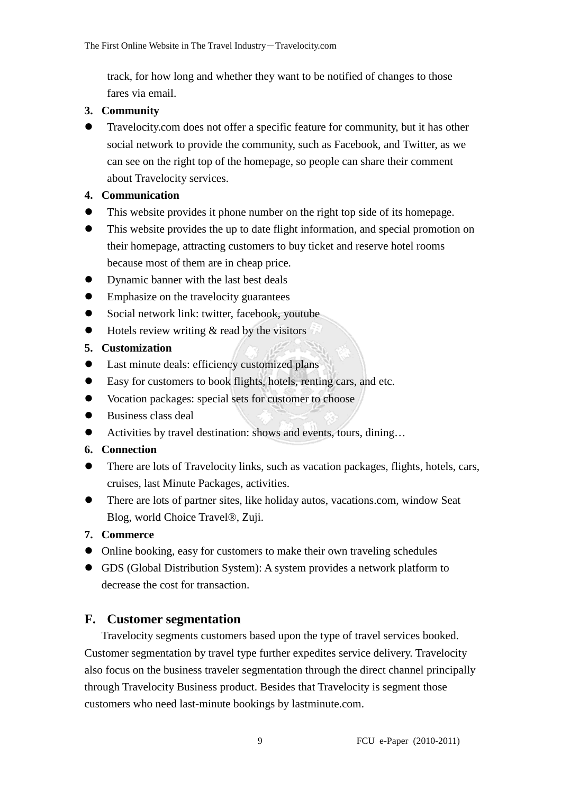track, for how long and whether they want to be notified of changes to those fares via email.

#### **3. Community**

 Travelocity.com does not offer a specific feature for community, but it has other social network to provide the community, such as Facebook, and Twitter, as we can see on the right top of the homepage, so people can share their comment about Travelocity services.

### **4. Communication**

- This website provides it phone number on the right top side of its homepage.
- This website provides the up to date flight information, and special promotion on their homepage, attracting customers to buy ticket and reserve hotel rooms because most of them are in cheap price.
- Dynamic banner with the last best deals
- Emphasize on the travelocity guarantees
- Social network link: twitter, facebook, youtube
- $\bullet$  Hotels review writing  $\&$  read by the visitors

### **5. Customization**

- Last minute deals: efficiency customized plans
- Easy for customers to book flights, hotels, renting cars, and etc.
- Vocation packages: special sets for customer to choose
- Business class deal
- Activities by travel destination: shows and events, tours, dining...

#### **6. Connection**

- There are lots of Travelocity links, such as vacation packages, flights, hotels, cars, cruises, last Minute Packages, activities.
- There are lots of partner sites, like holiday autos, vacations.com, window Seat Blog, world Choice Travel®, Zuji.

#### **7. Commerce**

- Online booking, easy for customers to make their own traveling schedules
- GDS (Global Distribution System): A system provides a network platform to decrease the cost for transaction.

### **F. Customer segmentation**

Travelocity segments customers based upon the type of travel services booked. Customer segmentation by travel type further expedites service delivery. Travelocity also focus on the business traveler segmentation through the direct channel principally through Travelocity Business product. Besides that Travelocity is segment those customers who need last-minute bookings by lastminute.com.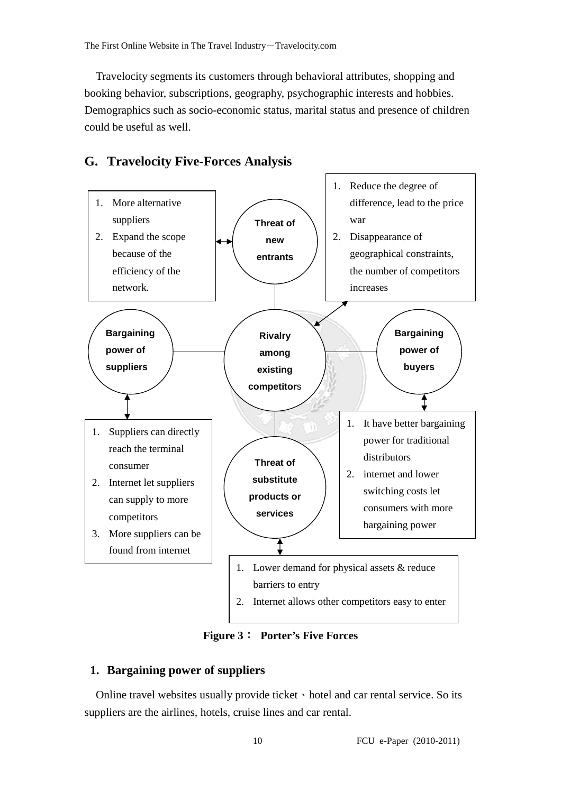Travelocity segments its customers through behavioral attributes, shopping and booking behavior, subscriptions, geography, psychographic interests and hobbies. Demographics such as socio-economic status, marital status and presence of children could be useful as well.



### **G. Travelocity Five-Forces Analysis**

**Figure 3**: **Porter's Five Forces** 

#### **1. Bargaining power of suppliers**

Online travel websites usually provide ticket  $\cdot$  hotel and car rental service. So its suppliers are the airlines, hotels, cruise lines and car rental.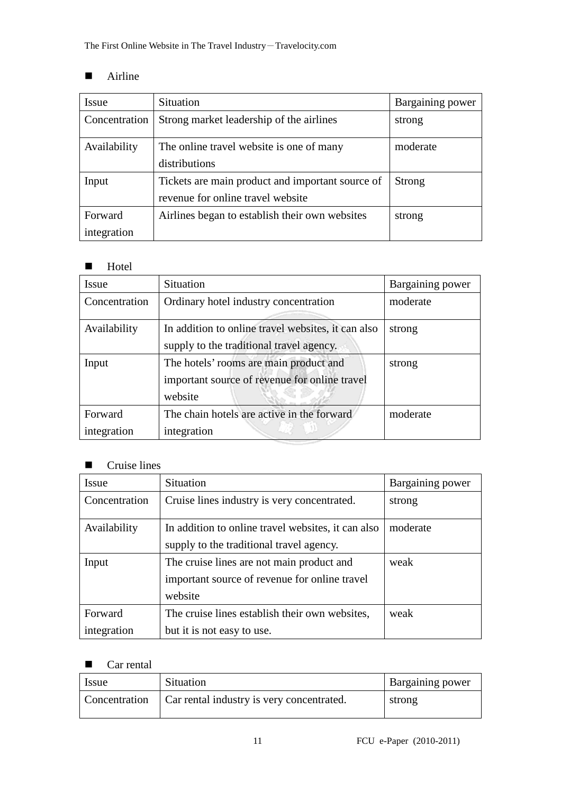#### -Airline

| Issue         | <b>Situation</b>                                 | Bargaining power |
|---------------|--------------------------------------------------|------------------|
| Concentration | Strong market leadership of the airlines         | strong           |
| Availability  | The online travel website is one of many         | moderate         |
|               | distributions                                    |                  |
| Input         | Tickets are main product and important source of | <b>Strong</b>    |
|               | revenue for online travel website                |                  |
| Forward       | Airlines began to establish their own websites   | strong           |
| integration   |                                                  |                  |

#### -Hotel

| <b>Issue</b>           | Situation                                                                                          | Bargaining power |
|------------------------|----------------------------------------------------------------------------------------------------|------------------|
| Concentration          | Ordinary hotel industry concentration                                                              | moderate         |
| Availability           | In addition to online travel websites, it can also<br>supply to the traditional travel agency.     | strong           |
| Input                  | The hotels' rooms are main product and<br>important source of revenue for online travel<br>website | strong           |
| Forward<br>integration | The chain hotels are active in the forward<br>integration                                          | moderate         |

#### -Cruise lines

| Issue         | <b>Situation</b>                                   | Bargaining power |
|---------------|----------------------------------------------------|------------------|
| Concentration | Cruise lines industry is very concentrated.        | strong           |
| Availability  | In addition to online travel websites, it can also | moderate         |
|               | supply to the traditional travel agency.           |                  |
| Input         | The cruise lines are not main product and          | weak             |
|               | important source of revenue for online travel      |                  |
|               | website                                            |                  |
| Forward       | The cruise lines establish their own websites,     | weak             |
| integration   | but it is not easy to use.                         |                  |

#### -Car rental

| <b>Issue</b> | Situation                                                 | <b>Bargaining power</b> |
|--------------|-----------------------------------------------------------|-------------------------|
|              | Concentration   Car rental industry is very concentrated. | strong                  |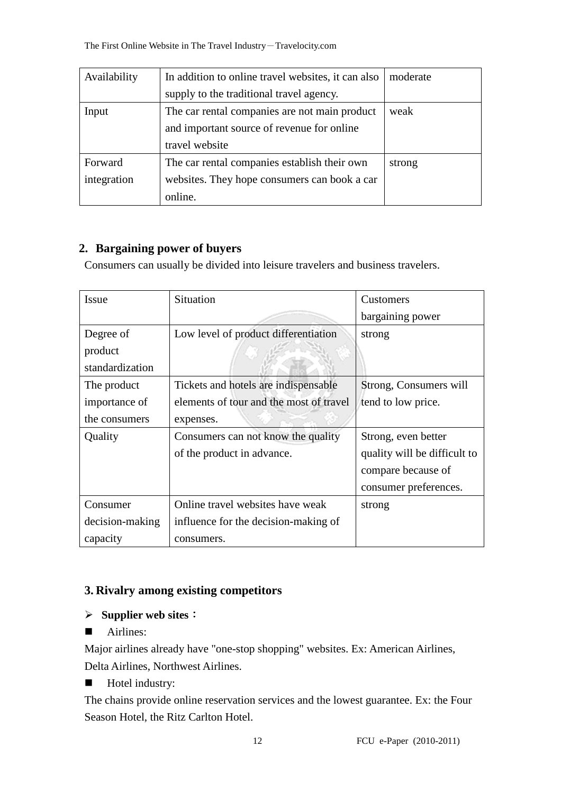| Availability | In addition to online travel websites, it can also | moderate |
|--------------|----------------------------------------------------|----------|
|              | supply to the traditional travel agency.           |          |
| Input        | The car rental companies are not main product      | weak     |
|              | and important source of revenue for online         |          |
|              | travel website                                     |          |
| Forward      | The car rental companies establish their own       | strong   |
| integration  | websites. They hope consumers can book a car       |          |
|              | online.                                            |          |

### **2. Bargaining power of buyers**

Consumers can usually be divided into leisure travelers and business travelers.

| Issue           | <b>Situation</b>                        | Customers                    |
|-----------------|-----------------------------------------|------------------------------|
|                 |                                         | bargaining power             |
| Degree of       | Low level of product differentiation    | strong                       |
| product         |                                         |                              |
| standardization |                                         |                              |
| The product     | Tickets and hotels are indispensable.   | Strong, Consumers will       |
| importance of   | elements of tour and the most of travel | tend to low price.           |
| the consumers   | expenses.                               |                              |
| Quality         | Consumers can not know the quality      | Strong, even better          |
|                 | of the product in advance.              | quality will be difficult to |
|                 |                                         | compare because of           |
|                 |                                         | consumer preferences.        |
| Consumer        | Online travel websites have weak        | strong                       |
| decision-making | influence for the decision-making of    |                              |
| capacity        | consumers.                              |                              |

### **3. Rivalry among existing competitors**

#### **Supplier web sites**:

-Airlines:

Major airlines already have "one-stop shopping" websites. Ex: American Airlines, Delta Airlines, Northwest Airlines.

-Hotel industry:

The chains provide online reservation services and the lowest guarantee. Ex: the Four Season Hotel, the Ritz Carlton Hotel.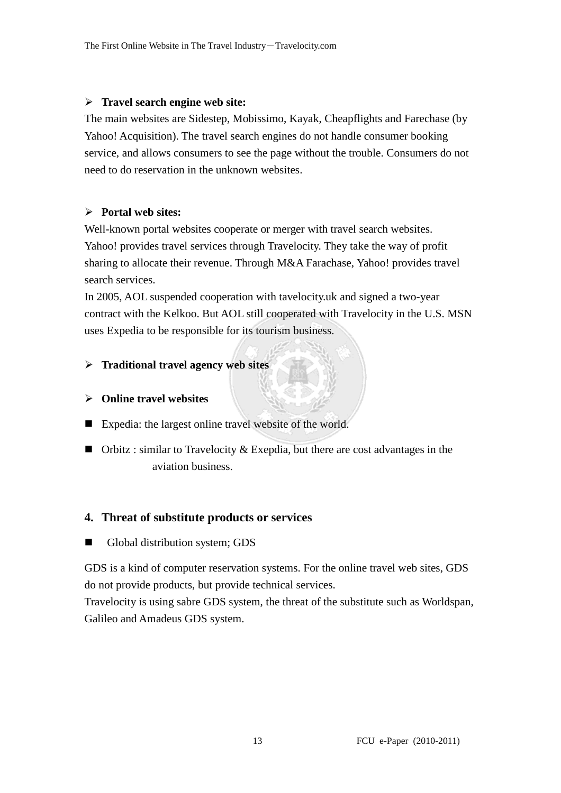#### **Travel search engine web site:**

The main websites are Sidestep, Mobissimo, Kayak, Cheapflights and Farechase (by Yahoo! Acquisition). The travel search engines do not handle consumer booking service, and allows consumers to see the page without the trouble. Consumers do not need to do reservation in the unknown websites.

#### **Portal web sites:**

Well-known portal websites cooperate or merger with travel search websites. Yahoo! provides travel services through Travelocity. They take the way of profit sharing to allocate their revenue. Through M&A Farachase, Yahoo! provides travel search services.

In 2005, AOL suspended cooperation with tavelocity.uk and signed a two-year contract with the Kelkoo. But AOL still cooperated with Travelocity in the U.S. MSN uses Expedia to be responsible for its tourism business.

#### **Traditional travel agency web sites**

#### **Online travel websites**

- Expedia: the largest online travel website of the world.
- Orbitz : similar to Travelocity & Exepdia, but there are cost advantages in the aviation business.

#### **4. Threat of substitute products or services**

-Global distribution system; GDS

GDS is a kind of computer reservation systems. For the online travel web sites, GDS do not provide products, but provide technical services.

Travelocity is using sabre GDS system, the threat of the substitute such as Worldspan, Galileo and Amadeus GDS system.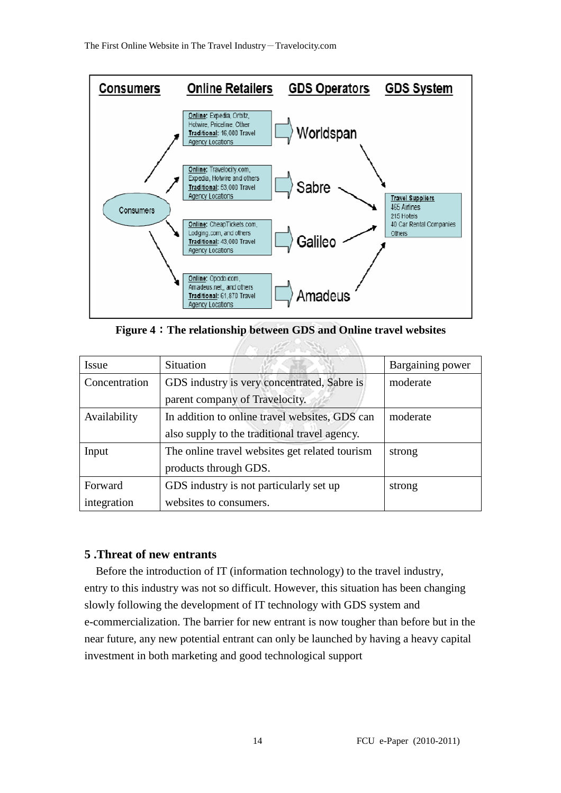

**Figure 4**:**The relationship between GDS and Online travel websites** 

all Street

| <b>Issue</b>  | <b>Situation</b>                               | Bargaining power |
|---------------|------------------------------------------------|------------------|
| Concentration | GDS industry is very concentrated, Sabre is    | moderate         |
|               | parent company of Travelocity.                 |                  |
| Availability  | In addition to online travel websites, GDS can | moderate         |
|               | also supply to the traditional travel agency.  |                  |
| Input         | The online travel websites get related tourism | strong           |
|               | products through GDS.                          |                  |
| Forward       | GDS industry is not particularly set up        | strong           |
| integration   | websites to consumers.                         |                  |

#### **5 .Threat of new entrants**

 Before the introduction of IT (information technology) to the travel industry, entry to this industry was not so difficult. However, this situation has been changing slowly following the development of IT technology with GDS system and e-commercialization. The barrier for new entrant is now tougher than before but in the near future, any new potential entrant can only be launched by having a heavy capital investment in both marketing and good technological support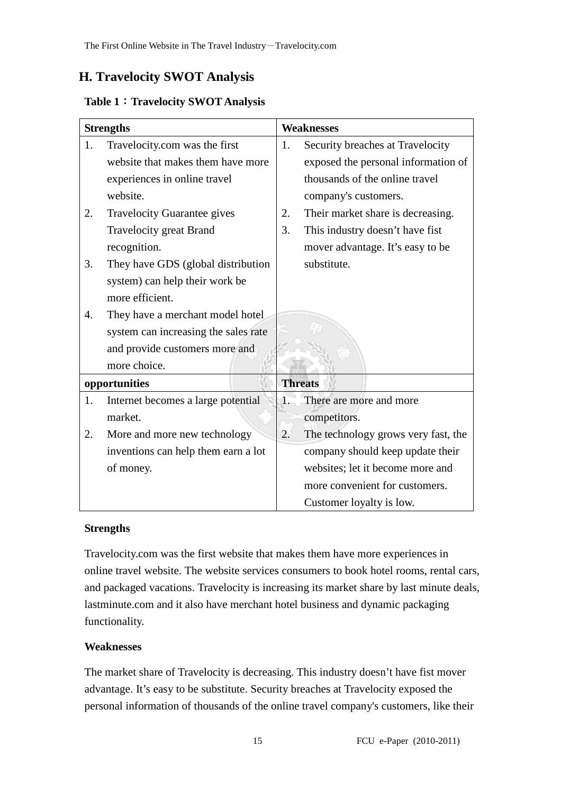## **H. Travelocity SWOT Analysis**

### **Table 1**:**Travelocity SWOT Analysis**

| <b>Strengths</b> |                                      | <b>Weaknesses</b> |                                     |
|------------------|--------------------------------------|-------------------|-------------------------------------|
| 1.               | Travelocity.com was the first        | 1.                | Security breaches at Travelocity    |
|                  | website that makes them have more    |                   | exposed the personal information of |
|                  | experiences in online travel         |                   | thousands of the online travel      |
|                  | website.                             |                   | company's customers.                |
| 2.               | <b>Travelocity Guarantee gives</b>   | 2.                | Their market share is decreasing.   |
|                  | <b>Travelocity great Brand</b>       | 3.                | This industry doesn't have fist     |
|                  | recognition.                         |                   | mover advantage. It's easy to be    |
| 3.               | They have GDS (global distribution   |                   | substitute.                         |
|                  | system) can help their work be       |                   |                                     |
|                  | more efficient.                      |                   |                                     |
| 4.               | They have a merchant model hotel     |                   |                                     |
|                  | system can increasing the sales rate |                   |                                     |
|                  | and provide customers more and       |                   |                                     |
|                  | more choice.                         |                   |                                     |
| opportunities    |                                      | <b>Threats</b>    |                                     |
| 1.               | Internet becomes a large potential   | 1.                | There are more and more             |
|                  | market.                              |                   | competitors.                        |
| 2.               | More and more new technology         | 2.                | The technology grows very fast, the |
|                  | inventions can help them earn a lot  |                   | company should keep update their    |
|                  | of money.                            |                   | websites; let it become more and    |
|                  |                                      |                   | more convenient for customers.      |
|                  |                                      |                   | Customer loyalty is low.            |

#### **Strengths**

Travelocity.com was the first website that makes them have more experiences in online travel website. The website services consumers to book hotel rooms, rental cars, and packaged vacations. Travelocity is increasing its market share by last minute deals, lastminute.com and it also have merchant hotel business and dynamic packaging functionality.

### **Weaknesses**

The market share of Travelocity is decreasing. This industry doesn't have fist mover advantage. It's easy to be substitute. Security breaches at Travelocity exposed the personal information of thousands of the online travel company's customers, like their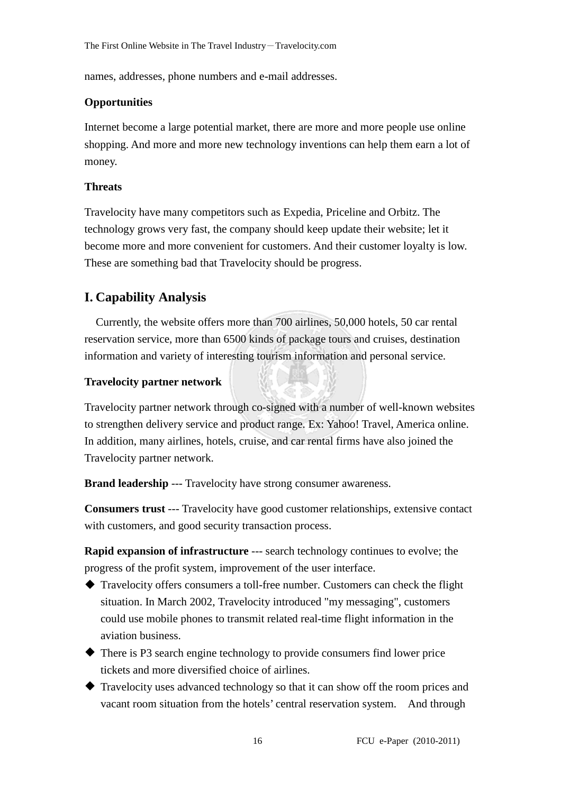names, addresses, phone numbers and e-mail addresses.

### **Opportunities**

Internet become a large potential market, there are more and more people use online shopping. And more and more new technology inventions can help them earn a lot of money.

#### **Threats**

Travelocity have many competitors such as Expedia, Priceline and Orbitz. The technology grows very fast, the company should keep update their website; let it become more and more convenient for customers. And their customer loyalty is low. These are something bad that Travelocity should be progress.

## **I. Capability Analysis**

Currently, the website offers more than 700 airlines, 50,000 hotels, 50 car rental reservation service, more than 6500 kinds of package tours and cruises, destination information and variety of interesting tourism information and personal service.

### **Travelocity partner network**

Travelocity partner network through co-signed with a number of well-known websites to strengthen delivery service and product range. Ex: Yahoo! Travel, America online. In addition, many airlines, hotels, cruise, and car rental firms have also joined the Travelocity partner network.

**Brand leadership** --- Travelocity have strong consumer awareness.

**Consumers trust** --- Travelocity have good customer relationships, extensive contact with customers, and good security transaction process.

**Rapid expansion of infrastructure** --- search technology continues to evolve; the progress of the profit system, improvement of the user interface.

- Travelocity offers consumers a toll-free number. Customers can check the flight situation. In March 2002, Travelocity introduced "my messaging", customers could use mobile phones to transmit related real-time flight information in the aviation business.
- There is P3 search engine technology to provide consumers find lower price tickets and more diversified choice of airlines.
- Travelocity uses advanced technology so that it can show off the room prices and vacant room situation from the hotels' central reservation system. And through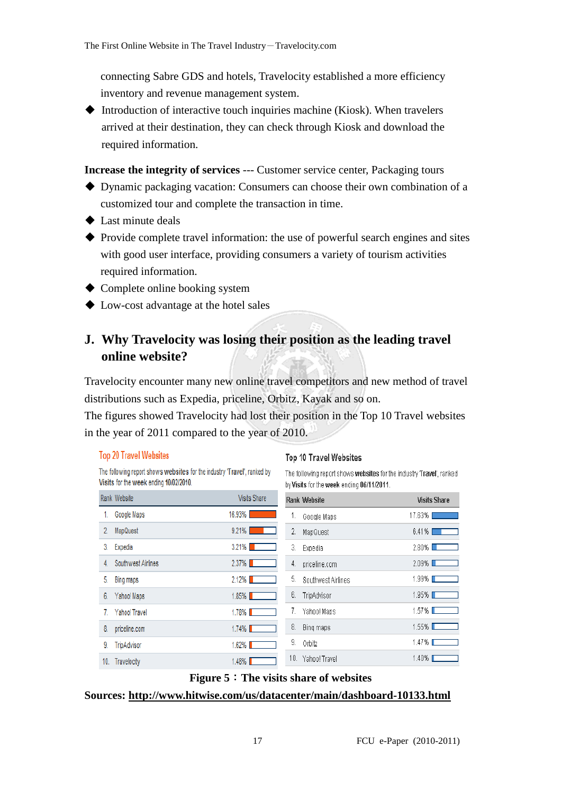connecting Sabre GDS and hotels, Travelocity established a more efficiency inventory and revenue management system.

Introduction of interactive touch inquiries machine (Kiosk). When travelers arrived at their destination, they can check through Kiosk and download the required information.

**Increase the integrity of services** --- Customer service center, Packaging tours

- Dynamic packaging vacation: Consumers can choose their own combination of a customized tour and complete the transaction in time.
- ◆ Last minute deals
- Provide complete travel information: the use of powerful search engines and sites with good user interface, providing consumers a variety of tourism activities required information.
- ◆ Complete online booking system
- ◆ Low-cost advantage at the hotel sales

## **J. Why Travelocity was losing their position as the leading travel online website?**

Travelocity encounter many new online travel competitors and new method of travel distributions such as Expedia, priceline, Orbitz, Kayak and so on.

The figures showed Travelocity had lost their position in the Top 10 Travel websites in the year of 2011 compared to the year of 2010.

#### **Top 20 Travel Websites**

The following report shows websites for the industry 'Travel', ranked by Visits for the week ending 10/02/2010.

#### **Top 10 Travel Websites**

The following report shows websites for the industry Travel', ranked by Visits for the week ending 06/11/2011.

|     | Rank Website       | <b>Visits Share</b>                                                                                                              | <b>Rank Website</b>      | <b>Visits Share</b> |
|-----|--------------------|----------------------------------------------------------------------------------------------------------------------------------|--------------------------|---------------------|
| 1.  | Google Maps        | 16.93%                                                                                                                           | 1.<br>Google Maps        | 17.63%              |
| 2.  | MapQuest           | $9.21\%$<br><b>Contract Contract Contract Contract Contract Contract Contract Contract Contract Contract Contract Contract C</b> | 2.<br>MapQuest           | $6.41\%$            |
| 3.  | Expedia            | $3.21\%$                                                                                                                         | 3.<br>Expedia            | 2.80%■              |
| 4.  | Southwest Airlines | $2.37\%$                                                                                                                         | 4.<br>priceline.com      | $2.09\%$            |
| 5.  | Bing maps          | $2.12\%$                                                                                                                         | 5.<br>Southwest Airlines | $1.99\%$ $\Box$     |
| 6.  | Yahoo! Maps        | $1.85\%$                                                                                                                         | 6.<br>TripAdvisor        | $1.95\%$ $\Box$     |
| 7.  | Yahoo! Travel      | $1.78\%$                                                                                                                         | Yahoo! Maps              | 1.57% $\square$     |
| 8.  | priceline.com      | $1.74\%$                                                                                                                         | 8.<br>Bing maps          | $1.55\%$ $\Box$     |
| 9.  | TripAdvisor        | $1.62\%$                                                                                                                         | 9.<br>Orbitz             | $1.47\%$            |
| 10. | Travelocity        | $1.48\%$                                                                                                                         | 10.<br>Yahoo! Travel     | 1.40% ■             |

#### **Figure 5**:**The visits share of websites**

**Sources: http://www.hitwise.com/us/datacenter/main/dashboard-10133.html**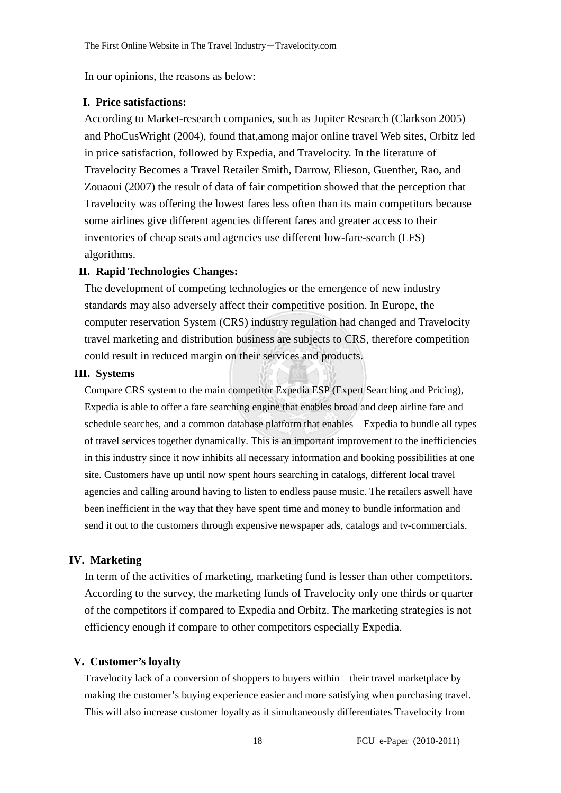In our opinions, the reasons as below:

#### **I. Price satisfactions:**

According to Market-research companies, such as Jupiter Research (Clarkson 2005) and PhoCusWright (2004), found that,among major online travel Web sites, Orbitz led in price satisfaction, followed by Expedia, and Travelocity. In the literature of Travelocity Becomes a Travel Retailer Smith, Darrow, Elieson, Guenther, Rao, and Zouaoui (2007) the result of data of fair competition showed that the perception that Travelocity was offering the lowest fares less often than its main competitors because some airlines give different agencies different fares and greater access to their inventories of cheap seats and agencies use different low-fare-search (LFS) algorithms.

#### **II. Rapid Technologies Changes:**

The development of competing technologies or the emergence of new industry standards may also adversely affect their competitive position. In Europe, the computer reservation System (CRS) industry regulation had changed and Travelocity travel marketing and distribution business are subjects to CRS, therefore competition could result in reduced margin on their services and products.

#### **III. Systems**

Compare CRS system to the main competitor Expedia ESP (Expert Searching and Pricing), Expedia is able to offer a fare searching engine that enables broad and deep airline fare and schedule searches, and a common database platform that enables Expedia to bundle all types of travel services together dynamically. This is an important improvement to the inefficiencies in this industry since it now inhibits all necessary information and booking possibilities at one site. Customers have up until now spent hours searching in catalogs, different local travel agencies and calling around having to listen to endless pause music. The retailers aswell have been inefficient in the way that they have spent time and money to bundle information and send it out to the customers through expensive newspaper ads, catalogs and tv-commercials.

#### **IV. Marketing**

In term of the activities of marketing, marketing fund is lesser than other competitors. According to the survey, the marketing funds of Travelocity only one thirds or quarter of the competitors if compared to Expedia and Orbitz. The marketing strategies is not efficiency enough if compare to other competitors especially Expedia.

#### **V. Customer's loyalty**

Travelocity lack of a conversion of shoppers to buyers within their travel marketplace by making the customer's buying experience easier and more satisfying when purchasing travel. This will also increase customer loyalty as it simultaneously differentiates Travelocity from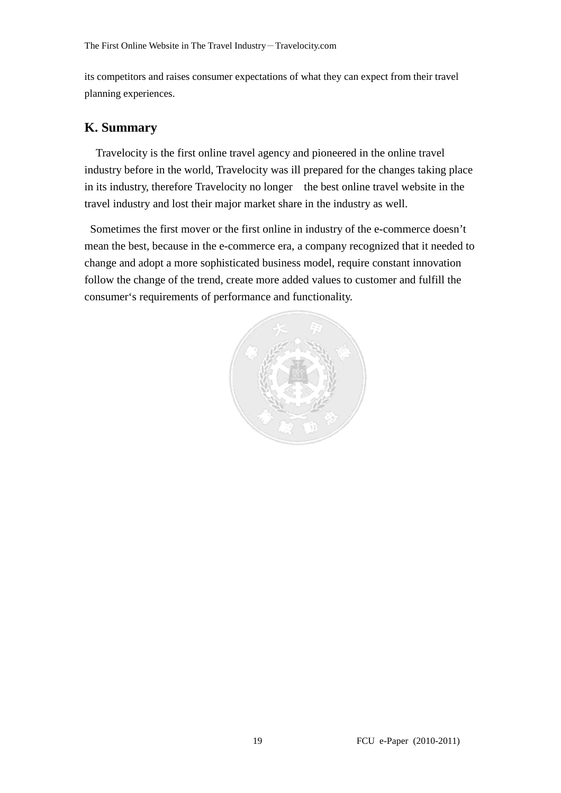its competitors and raises consumer expectations of what they can expect from their travel planning experiences.

#### **K. Summary**

Travelocity is the first online travel agency and pioneered in the online travel industry before in the world, Travelocity was ill prepared for the changes taking place in its industry, therefore Travelocity no longer the best online travel website in the travel industry and lost their major market share in the industry as well.

 Sometimes the first mover or the first online in industry of the e-commerce doesn't mean the best, because in the e-commerce era, a company recognized that it needed to change and adopt a more sophisticated business model, require constant innovation follow the change of the trend, create more added values to customer and fulfill the consumer's requirements of performance and functionality.